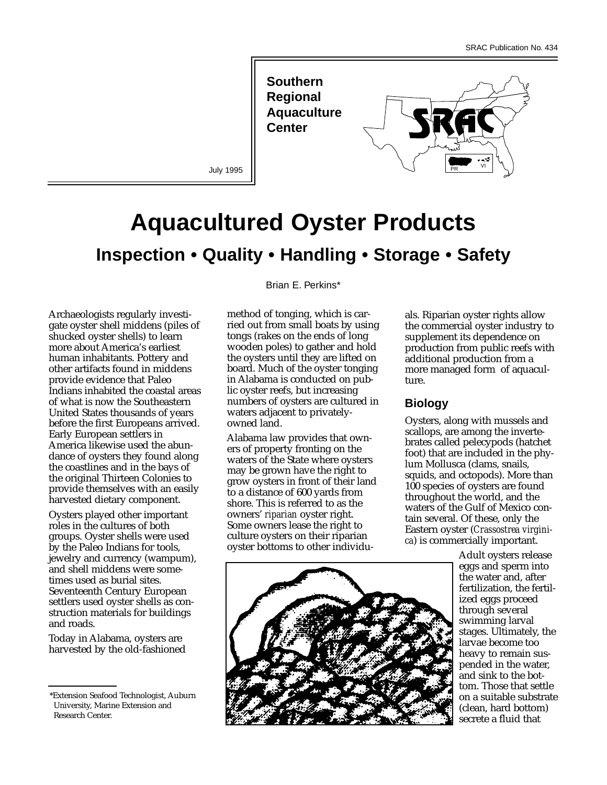**Southern Regional Aquaculture Center** 



July 1995

# **Aquacultured Oyster Products Inspection • Quality • Handling • Storage • Safety**

Archaeologists regularly investigate oyster shell middens (piles of shucked oyster shells) to learn more about America's earliest human inhabitants. Pottery and other artifacts found in middens provide evidence that Paleo Indians inhabited the coastal areas of what is now the Southeastern United States thousands of years before the first Europeans arrived. Early European settlers in America likewise used the abundance of oysters they found along the coastlines and in the bays of the original Thirteen Colonies to provide themselves with an easily harvested dietary component.

Oysters played other important roles in the cultures of both groups. Oyster shells were used by the Paleo Indians for tools, jewelry and currency (wampum), and shell middens were sometimes used as burial sites. Seventeenth Century European settlers used oyster shells as construction materials for buildings and roads.

Today in Alabama, oysters are harvested by the old-fashioned Brian E. Perkins\*

method of tonging, which is carried out from small boats by using tongs (rakes on the ends of long wooden poles) to gather and hold the oysters until they are lifted on board. Much of the oyster tonging in Alabama is conducted on public oyster reefs, but increasing numbers of oysters are cultured in waters adjacent to privatelyowned land.

Alabama law provides that owners of property fronting on the waters of the State where oysters may be grown have the right to grow oysters in front of their land to a distance of 600 yards from shore. This is referred to as the owners' *riparian* oyster right. Some owners lease the right to culture oysters on their riparian oyster bottoms to other individuals. Riparian oyster rights allow the commercial oyster industry to supplement its dependence on production from public reefs with additional production from a more managed form of aquaculture.

# **Biology**

Oysters, along with mussels and scallops, are among the invertebrates called pelecypods (hatchet foot) that are included in the phylum Mollusca (clams, snails, squids, and octopods). More than 100 species of oysters are found throughout the world, and the waters of the Gulf of Mexico contain several. Of these, only the Eastern oyster (*Crassostrea virginica*) is commercially important.



Adult oysters release eggs and sperm into the water and, after fertilization, the fertilized eggs proceed through several swimming larval stages. Ultimately, the larvae become too heavy to remain suspended in the water, and sink to the bottom. Those that settle on a suitable substrate (clean, hard bottom) secrete a fluid that

<sup>\*</sup>Extension Seafood Technologist, Auburn University, Marine Extension and Research Center.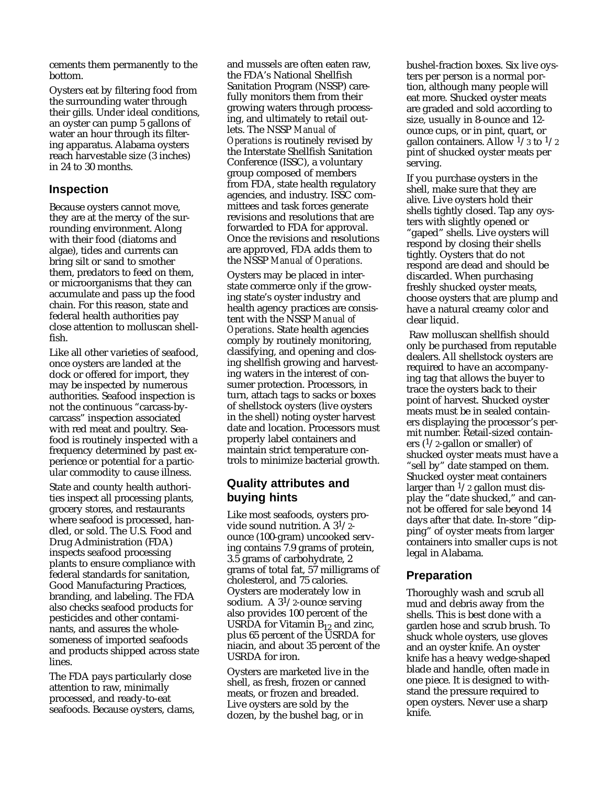cements them permanently to the bottom.

Oysters eat by filtering food from the surrounding water through their gills. Under ideal conditions, an oyster can pump 5 gallons of water an hour through its filtering apparatus. Alabama oysters reach harvestable size (3 inches) in 24 to 30 months.

#### **Inspection**

Because oysters cannot move, they are at the mercy of the surrounding environment. Along with their food (diatoms and algae), tides and currents can bring silt or sand to smother them, predators to feed on them, or microorganisms that they can accumulate and pass up the food chain. For this reason, state and federal health authorities pay close attention to molluscan shellfish.

Like all other varieties of seafood, once oysters are landed at the dock or offered for import, they may be inspected by numerous authorities. Seafood inspection is not the continuous "carcass-bycarcass" inspection associated with red meat and poultry. Seafood is routinely inspected with a frequency determined by past experience or potential for a particular commodity to cause illness.

State and county health authorities inspect all processing plants, grocery stores, and restaurants where seafood is processed, handled, or sold. The U.S. Food and Drug Administration (FDA) inspects seafood processing plants to ensure compliance with federal standards for sanitation, Good Manufacturing Practices, branding, and labeling. The FDA also checks seafood products for pesticides and other contaminants, and assures the wholesomeness of imported seafoods and products shipped across state lines.

The FDA pays particularly close attention to raw, minimally processed, and ready-to-eat seafoods. Because oysters, clams, and mussels are often eaten raw, the FDA's National Shellfish Sanitation Program (NSSP) carefully monitors them from their growing waters through processing, and ultimately to retail outlets. The NSSP *Manual of Operations* is routinely revised by the Interstate Shellfish Sanitation Conference (ISSC), a voluntary group composed of members from FDA, state health regulatory agencies, and industry. ISSC committees and task forces generate revisions and resolutions that are forwarded to FDA for approval. Once the revisions and resolutions are approved, FDA adds them to the NSSP *Manual of Operations*.

Oysters may be placed in interstate commerce only if the growing state's oyster industry and health agency practices are consistent with the NSSP *Manual of Operations*. State health agencies comply by routinely monitoring, classifying, and opening and closing shellfish growing and harvesting waters in the interest of consumer protection. Processors, in turn, attach tags to sacks or boxes of shellstock oysters (live oysters in the shell) noting oyster harvest date and location. Processors must properly label containers and maintain strict temperature controls to minimize bacterial growth.

## **Quality attributes and buying hints**

Like most seafoods, oysters provide sound nutrition. A  $3^{1/2}$ ounce (100-gram) uncooked serving contains 7.9 grams of protein, 3.5 grams of carbohydrate, 2 grams of total fat, 57 milligrams of cholesterol, and 75 calories. Oysters are moderately low in sodium. A  $3^{1}/2$ -ounce serving also provides 100 percent of the USRDA for Vitamin  $B_{12}$  and zinc, plus 65 percent of the USRDA for niacin, and about 35 percent of the USRDA for iron.

Oysters are marketed live in the shell, as fresh, frozen or canned meats, or frozen and breaded. Live oysters are sold by the dozen, by the bushel bag, or in

bushel-fraction boxes. Six live oysters per person is a normal portion, although many people will eat more. Shucked oyster meats are graded and sold according to size, usually in 8-ounce and 12 ounce cups, or in pint, quart, or gallon containers. Allow  $\frac{1}{3}$  to  $\frac{1}{2}$ pint of shucked oyster meats per serving.

If you purchase oysters in the shell, make sure that they are alive. Live oysters hold their shells tightly closed. Tap any oysters with slightly opened or "gaped" shells. Live oysters will respond by closing their shells tightly. Oysters that do not respond are dead and should be discarded. When purchasing freshly shucked oyster meats, choose oysters that are plump and have a natural creamy color and clear liquid.

Raw molluscan shellfish should only be purchased from reputable dealers. All shellstock oysters are required to have an accompanying tag that allows the buyer to trace the oysters back to their point of harvest. Shucked oyster meats must be in sealed containers displaying the processor's permit number. Retail-sized containers  $(1/2)$ -gallon or smaller) of shucked oyster meats must have a "sell by" date stamped on them. Shucked oyster meat containers larger than  $\frac{1}{2}$  gallon must display the "date shucked," and cannot be offered for sale beyond 14 days after that date. In-store "dipping" of oyster meats from larger containers into smaller cups is not legal in Alabama.

## **Preparation**

Thoroughly wash and scrub all mud and debris away from the shells. This is best done with a garden hose and scrub brush. To shuck whole oysters, use gloves and an oyster knife. An oyster knife has a heavy wedge-shaped blade and handle, often made in one piece. It is designed to withstand the pressure required to open oysters. Never use a sharp knife.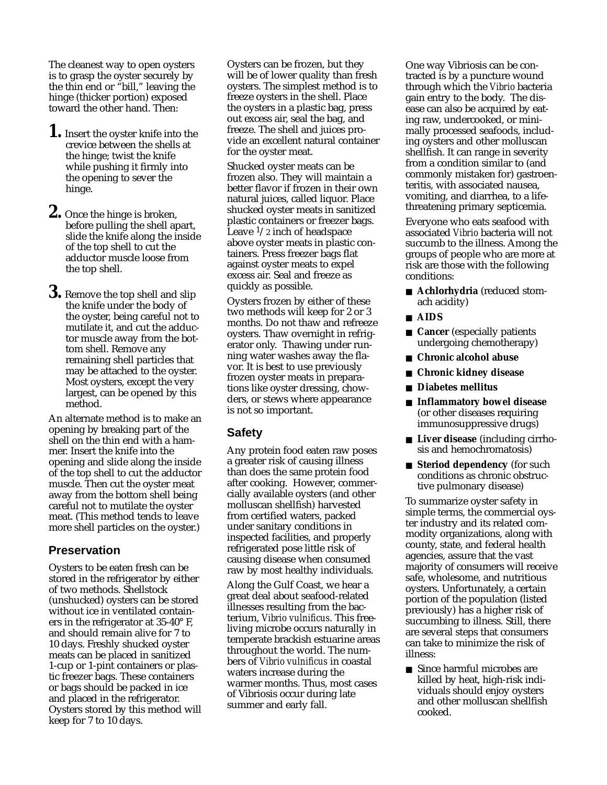The cleanest way to open oysters is to grasp the oyster securely by the thin end or "bill," leaving the hinge (thicker portion) exposed toward the other hand. Then:

- **1.** Insert the oyster knife into the crevice between the shells at the hinge; twist the knife while pushing it firmly into the opening to sever the hinge.
- **2.** Once the hinge is broken, before pulling the shell apart, slide the knife along the inside of the top shell to cut the adductor muscle loose from the top shell.
- **3.** Remove the top shell and slip the knife under the body of the oyster, being careful not to mutilate it, and cut the adductor muscle away from the bottom shell. Remove any remaining shell particles that may be attached to the oyster. Most oysters, except the very largest, can be opened by this method.

An alternate method is to make an opening by breaking part of the shell on the thin end with a hammer. Insert the knife into the opening and slide along the inside of the top shell to cut the adductor muscle. Then cut the oyster meat away from the bottom shell being careful not to mutilate the oyster meat. (This method tends to leave more shell particles on the oyster.)

#### **Preservation**

Oysters to be eaten fresh can be stored in the refrigerator by either of two methods. Shellstock (unshucked) oysters can be stored without ice in ventilated containers in the refrigerator at 35-40° F, and should remain alive for 7 to 10 days. Freshly shucked oyster meats can be placed in sanitized 1-cup or 1-pint containers or plastic freezer bags. These containers or bags should be packed in ice and placed in the refrigerator. Oysters stored by this method will keep for 7 to 10 days.

Oysters can be frozen, but they will be of lower quality than fresh oysters. The simplest method is to freeze oysters in the shell. Place the oysters in a plastic bag, press out excess air, seal the bag, and freeze. The shell and juices provide an excellent natural container for the oyster meat.

Shucked oyster meats can be frozen also. They will maintain a better flavor if frozen in their own natural juices, called liquor. Place shucked oyster meats in sanitized plastic containers or freezer bags. Leave  $\frac{1}{2}$  inch of headspace above oyster meats in plastic containers. Press freezer bags flat against oyster meats to expel excess air. Seal and freeze as quickly as possible.

Oysters frozen by either of these two methods will keep for 2 or 3 months. Do not thaw and refreeze oysters. Thaw overnight in refrigerator only. Thawing under running water washes away the flavor. It is best to use previously frozen oyster meats in preparations like oyster dressing, chowders, or stews where appearance is not so important.

## **Safety**

Any protein food eaten raw poses a greater risk of causing illness than does the same protein food after cooking. However, commercially available oysters (and other molluscan shellfish) harvested from certified waters, packed under sanitary conditions in inspected facilities, and properly refrigerated pose little risk of causing disease when consumed raw by most healthy individuals.

Along the Gulf Coast, we hear a great deal about seafood-related illnesses resulting from the bacterium, *Vibrio vulnificus*. This freeliving microbe occurs naturally in temperate brackish estuarine areas throughout the world. The numbers of *Vibrio vulnificus* in coastal waters increase during the warmer months. Thus, most cases of Vibriosis occur during late summer and early fall.

One way Vibriosis can be contracted is by a puncture wound through which the *Vibrio* bacteria gain entry to the body. The disease can also be acquired by eating raw, undercooked, or minimally processed seafoods, including oysters and other molluscan shellfish. It can range in severity from a condition similar to (and commonly mistaken for) gastroenteritis, with associated nausea, vomiting, and diarrhea, to a lifethreatening primary septicemia.

Everyone who eats seafood with associated *Vibrio* bacteria will not succumb to the illness. Among the groups of people who are more at risk are those with the following conditions:

- **Achlorhydria** (reduced stomach acidity)
- **AIDS**
- **Cancer** (especially patients undergoing chemotherapy)
- **Chronic alcohol abuse**
- **Chronic kidney disease**
- **Diabetes mellitus**
- **Inflammatory bowel disease** (or other diseases requiring immunosuppressive drugs)
- **Liver disease** (including cirrhosis and hemochromatosis)
- **Steriod dependency** (for such conditions as chronic obstructive pulmonary disease)

To summarize oyster safety in simple terms, the commercial oyster industry and its related commodity organizations, along with county, state, and federal health agencies, assure that the vast majority of consumers will receive safe, wholesome, and nutritious oysters. Unfortunately, a certain portion of the population (listed previously) has a higher risk of succumbing to illness. Still, there are several steps that consumers can take to minimize the risk of illness:

■ Since harmful microbes are killed by heat, high-risk individuals should enjoy oysters and other molluscan shellfish cooked.